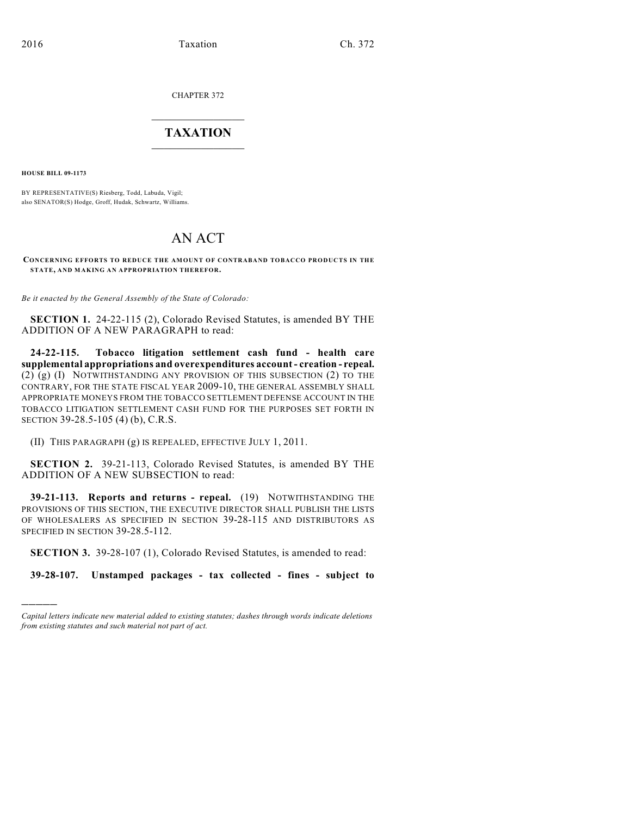CHAPTER 372

## $\overline{\phantom{a}}$  . The set of the set of the set of the set of the set of the set of the set of the set of the set of the set of the set of the set of the set of the set of the set of the set of the set of the set of the set o **TAXATION**  $\_$

**HOUSE BILL 09-1173**

)))))

BY REPRESENTATIVE(S) Riesberg, Todd, Labuda, Vigil; also SENATOR(S) Hodge, Groff, Hudak, Schwartz, Williams.

## AN ACT

## **CONCERNING EFFORTS TO REDUCE THE AMOUNT OF CONTRABAND TOBACCO PRODUCTS IN THE STATE, AND MAKING AN APPROPRIATION THEREFOR.**

*Be it enacted by the General Assembly of the State of Colorado:*

**SECTION 1.** 24-22-115 (2), Colorado Revised Statutes, is amended BY THE ADDITION OF A NEW PARAGRAPH to read:

**24-22-115. Tobacco litigation settlement cash fund - health care supplemental appropriations and overexpenditures account - creation - repeal.** (2) (g) (I) NOTWITHSTANDING ANY PROVISION OF THIS SUBSECTION (2) TO THE CONTRARY, FOR THE STATE FISCAL YEAR 2009-10, THE GENERAL ASSEMBLY SHALL APPROPRIATE MONEYS FROM THE TOBACCO SETTLEMENT DEFENSE ACCOUNT IN THE TOBACCO LITIGATION SETTLEMENT CASH FUND FOR THE PURPOSES SET FORTH IN SECTION 39-28.5-105 (4) (b), C.R.S.

(II) THIS PARAGRAPH (g) IS REPEALED, EFFECTIVE JULY 1, 2011.

**SECTION 2.** 39-21-113, Colorado Revised Statutes, is amended BY THE ADDITION OF A NEW SUBSECTION to read:

**39-21-113. Reports and returns - repeal.** (19) NOTWITHSTANDING THE PROVISIONS OF THIS SECTION, THE EXECUTIVE DIRECTOR SHALL PUBLISH THE LISTS OF WHOLESALERS AS SPECIFIED IN SECTION 39-28-115 AND DISTRIBUTORS AS SPECIFIED IN SECTION 39-28.5-112.

**SECTION 3.** 39-28-107 (1), Colorado Revised Statutes, is amended to read:

**39-28-107. Unstamped packages - tax collected - fines - subject to**

*Capital letters indicate new material added to existing statutes; dashes through words indicate deletions from existing statutes and such material not part of act.*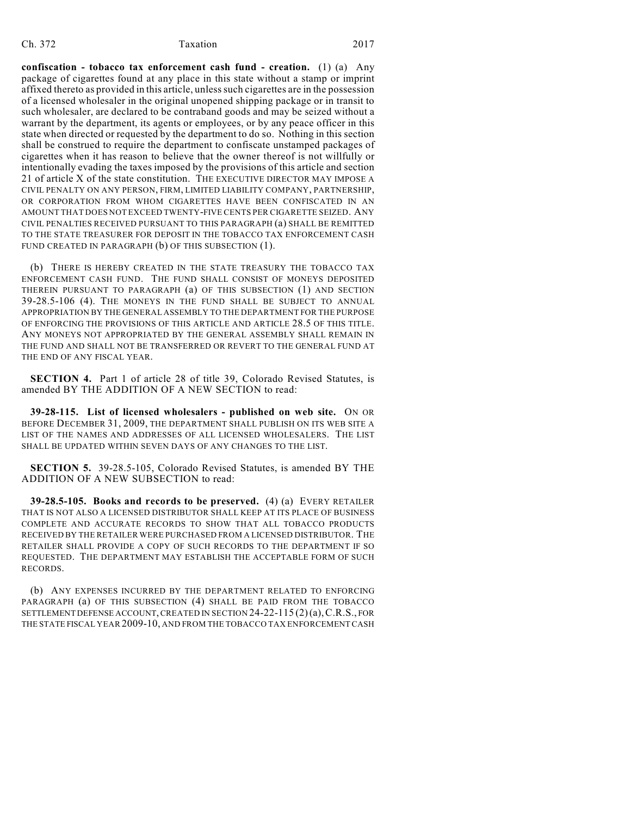## Ch. 372 Taxation 2017

**confiscation - tobacco tax enforcement cash fund - creation.** (1) (a) Any package of cigarettes found at any place in this state without a stamp or imprint affixed thereto as provided in this article, unless such cigarettes are in the possession of a licensed wholesaler in the original unopened shipping package or in transit to such wholesaler, are declared to be contraband goods and may be seized without a warrant by the department, its agents or employees, or by any peace officer in this state when directed or requested by the department to do so. Nothing in this section shall be construed to require the department to confiscate unstamped packages of cigarettes when it has reason to believe that the owner thereof is not willfully or intentionally evading the taxes imposed by the provisions of this article and section 21 of article X of the state constitution. THE EXECUTIVE DIRECTOR MAY IMPOSE A CIVIL PENALTY ON ANY PERSON, FIRM, LIMITED LIABILITY COMPANY, PARTNERSHIP, OR CORPORATION FROM WHOM CIGARETTES HAVE BEEN CONFISCATED IN AN AMOUNT THAT DOES NOT EXCEED TWENTY-FIVE CENTS PER CIGARETTE SEIZED. ANY CIVIL PENALTIES RECEIVED PURSUANT TO THIS PARAGRAPH (a) SHALL BE REMITTED TO THE STATE TREASURER FOR DEPOSIT IN THE TOBACCO TAX ENFORCEMENT CASH FUND CREATED IN PARAGRAPH (b) OF THIS SUBSECTION (1).

(b) THERE IS HEREBY CREATED IN THE STATE TREASURY THE TOBACCO TAX ENFORCEMENT CASH FUND. THE FUND SHALL CONSIST OF MONEYS DEPOSITED THEREIN PURSUANT TO PARAGRAPH (a) OF THIS SUBSECTION (1) AND SECTION 39-28.5-106 (4). THE MONEYS IN THE FUND SHALL BE SUBJECT TO ANNUAL APPROPRIATION BY THE GENERAL ASSEMBLY TO THE DEPARTMENT FOR THE PURPOSE OF ENFORCING THE PROVISIONS OF THIS ARTICLE AND ARTICLE 28.5 OF THIS TITLE. ANY MONEYS NOT APPROPRIATED BY THE GENERAL ASSEMBLY SHALL REMAIN IN THE FUND AND SHALL NOT BE TRANSFERRED OR REVERT TO THE GENERAL FUND AT THE END OF ANY FISCAL YEAR.

**SECTION 4.** Part 1 of article 28 of title 39, Colorado Revised Statutes, is amended BY THE ADDITION OF A NEW SECTION to read:

**39-28-115. List of licensed wholesalers - published on web site.** ON OR BEFORE DECEMBER 31, 2009, THE DEPARTMENT SHALL PUBLISH ON ITS WEB SITE A LIST OF THE NAMES AND ADDRESSES OF ALL LICENSED WHOLESALERS. THE LIST SHALL BE UPDATED WITHIN SEVEN DAYS OF ANY CHANGES TO THE LIST.

**SECTION 5.** 39-28.5-105, Colorado Revised Statutes, is amended BY THE ADDITION OF A NEW SUBSECTION to read:

**39-28.5-105. Books and records to be preserved.** (4) (a) EVERY RETAILER THAT IS NOT ALSO A LICENSED DISTRIBUTOR SHALL KEEP AT ITS PLACE OF BUSINESS COMPLETE AND ACCURATE RECORDS TO SHOW THAT ALL TOBACCO PRODUCTS RECEIVED BY THE RETAILER WERE PURCHASED FROM A LICENSED DISTRIBUTOR. THE RETAILER SHALL PROVIDE A COPY OF SUCH RECORDS TO THE DEPARTMENT IF SO REQUESTED. THE DEPARTMENT MAY ESTABLISH THE ACCEPTABLE FORM OF SUCH RECORDS.

(b) ANY EXPENSES INCURRED BY THE DEPARTMENT RELATED TO ENFORCING PARAGRAPH (a) OF THIS SUBSECTION (4) SHALL BE PAID FROM THE TOBACCO SETTLEMENT DEFENSE ACCOUNT, CREATED IN SECTION 24-22-115 (2)(a),C.R.S., FOR THE STATE FISCAL YEAR 2009-10, AND FROM THE TOBACCO TAX ENFORCEMENT CASH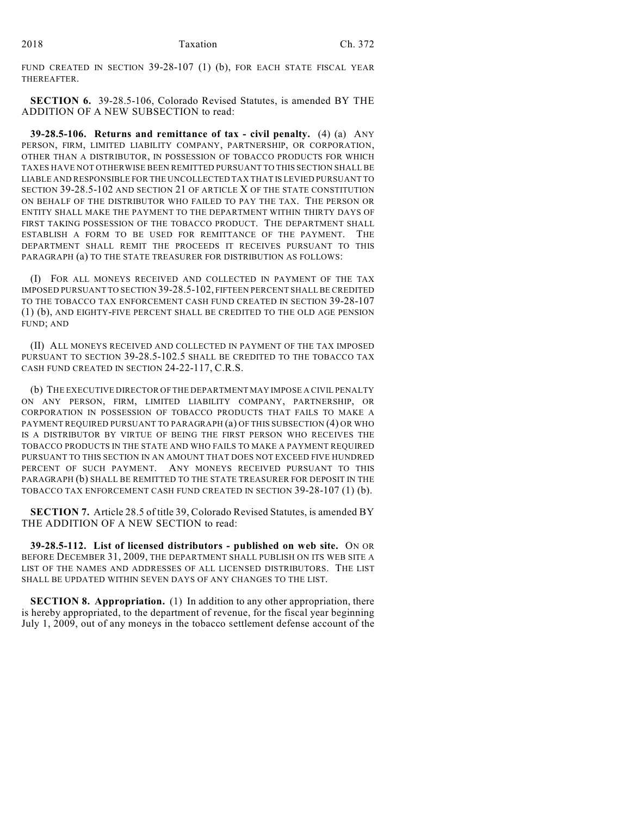FUND CREATED IN SECTION 39-28-107 (1) (b), FOR EACH STATE FISCAL YEAR THEREAFTER.

**SECTION 6.** 39-28.5-106, Colorado Revised Statutes, is amended BY THE ADDITION OF A NEW SUBSECTION to read:

**39-28.5-106. Returns and remittance of tax - civil penalty.** (4) (a) ANY PERSON, FIRM, LIMITED LIABILITY COMPANY, PARTNERSHIP, OR CORPORATION, OTHER THAN A DISTRIBUTOR, IN POSSESSION OF TOBACCO PRODUCTS FOR WHICH TAXES HAVE NOT OTHERWISE BEEN REMITTED PURSUANT TO THIS SECTION SHALL BE LIABLE AND RESPONSIBLE FOR THE UNCOLLECTED TAX THAT IS LEVIED PURSUANT TO SECTION 39-28.5-102 AND SECTION 21 OF ARTICLE X OF THE STATE CONSTITUTION ON BEHALF OF THE DISTRIBUTOR WHO FAILED TO PAY THE TAX. THE PERSON OR ENTITY SHALL MAKE THE PAYMENT TO THE DEPARTMENT WITHIN THIRTY DAYS OF FIRST TAKING POSSESSION OF THE TOBACCO PRODUCT. THE DEPARTMENT SHALL ESTABLISH A FORM TO BE USED FOR REMITTANCE OF THE PAYMENT. THE DEPARTMENT SHALL REMIT THE PROCEEDS IT RECEIVES PURSUANT TO THIS PARAGRAPH (a) TO THE STATE TREASURER FOR DISTRIBUTION AS FOLLOWS:

(I) FOR ALL MONEYS RECEIVED AND COLLECTED IN PAYMENT OF THE TAX IMPOSED PURSUANT TO SECTION 39-28.5-102, FIFTEEN PERCENT SHALL BE CREDITED TO THE TOBACCO TAX ENFORCEMENT CASH FUND CREATED IN SECTION 39-28-107 (1) (b), AND EIGHTY-FIVE PERCENT SHALL BE CREDITED TO THE OLD AGE PENSION FUND; AND

(II) ALL MONEYS RECEIVED AND COLLECTED IN PAYMENT OF THE TAX IMPOSED PURSUANT TO SECTION 39-28.5-102.5 SHALL BE CREDITED TO THE TOBACCO TAX CASH FUND CREATED IN SECTION 24-22-117, C.R.S.

(b) THE EXECUTIVE DIRECTOR OF THE DEPARTMENT MAY IMPOSE A CIVIL PENALTY ON ANY PERSON, FIRM, LIMITED LIABILITY COMPANY, PARTNERSHIP, OR CORPORATION IN POSSESSION OF TOBACCO PRODUCTS THAT FAILS TO MAKE A PAYMENT REQUIRED PURSUANT TO PARAGRAPH (a) OF THIS SUBSECTION (4) OR WHO IS A DISTRIBUTOR BY VIRTUE OF BEING THE FIRST PERSON WHO RECEIVES THE TOBACCO PRODUCTS IN THE STATE AND WHO FAILS TO MAKE A PAYMENT REQUIRED PURSUANT TO THIS SECTION IN AN AMOUNT THAT DOES NOT EXCEED FIVE HUNDRED PERCENT OF SUCH PAYMENT. ANY MONEYS RECEIVED PURSUANT TO THIS PARAGRAPH (b) SHALL BE REMITTED TO THE STATE TREASURER FOR DEPOSIT IN THE TOBACCO TAX ENFORCEMENT CASH FUND CREATED IN SECTION 39-28-107 (1) (b).

**SECTION 7.** Article 28.5 of title 39, Colorado Revised Statutes, is amended BY THE ADDITION OF A NEW SECTION to read:

**39-28.5-112. List of licensed distributors - published on web site.** ON OR BEFORE DECEMBER 31, 2009, THE DEPARTMENT SHALL PUBLISH ON ITS WEB SITE A LIST OF THE NAMES AND ADDRESSES OF ALL LICENSED DISTRIBUTORS. THE LIST SHALL BE UPDATED WITHIN SEVEN DAYS OF ANY CHANGES TO THE LIST.

**SECTION 8. Appropriation.** (1) In addition to any other appropriation, there is hereby appropriated, to the department of revenue, for the fiscal year beginning July 1, 2009, out of any moneys in the tobacco settlement defense account of the